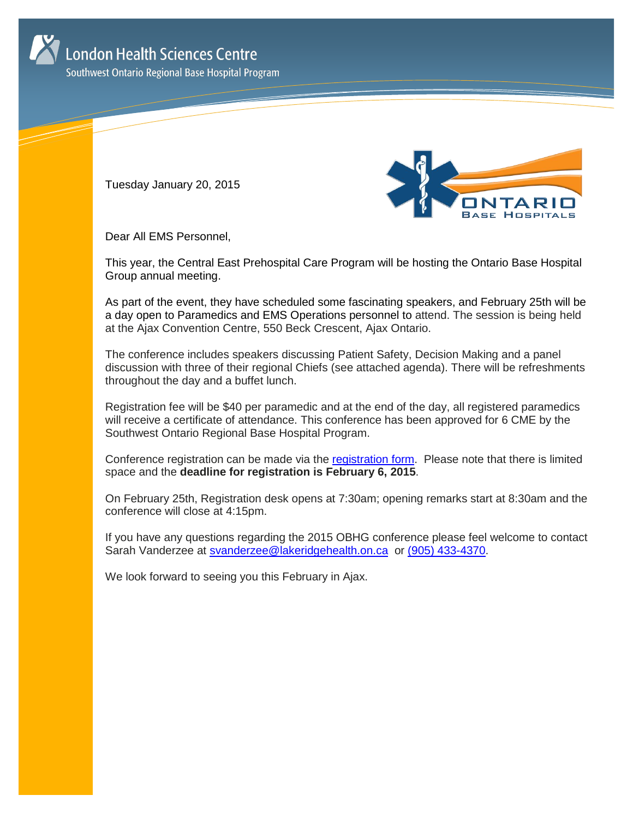

Southwest Ontario Regional Base Hospital Program

Tuesday January 20, 2015



Dear All EMS Personnel,

This year, the Central East Prehospital Care Program will be hosting the Ontario Base Hospital Group annual meeting.

As part of the event, they have scheduled some fascinating speakers, and February 25th will be a day open to Paramedics and EMS Operations personnel to attend. The session is being held at the Ajax Convention Centre, 550 Beck Crescent, Ajax Ontario.

The conference includes speakers discussing Patient Safety, Decision Making and a panel discussion with three of their regional Chiefs (see attached agenda). There will be refreshments throughout the day and a buffet lunch.

Registration fee will be \$40 per paramedic and at the end of the day, all registered paramedics will receive a certificate of attendance. This conference has been approved for 6 CME by the Southwest Ontario Regional Base Hospital Program.

Conference registration can be made via the [registration form.](http://www.lhsc.on.ca/About_Us/Base_Hospital_Program/OBHG_Conf/OBHGAnnualMeetingRegistrationForParamedic.pdf) Please note that there is limited space and the **deadline for registration is February 6, 2015**.

On February 25th, Registration desk opens at 7:30am; opening remarks start at 8:30am and the conference will close at 4:15pm.

If you have any questions regarding the 2015 OBHG conference please feel welcome to contact Sarah Vanderzee at [svanderzee@lakeridgehealth.on.ca](mailto:svanderzee@lakeridgehealth.on.ca) or [\(905\) 433-4370.](tel:9054334370)

We look forward to seeing you this February in Ajax.